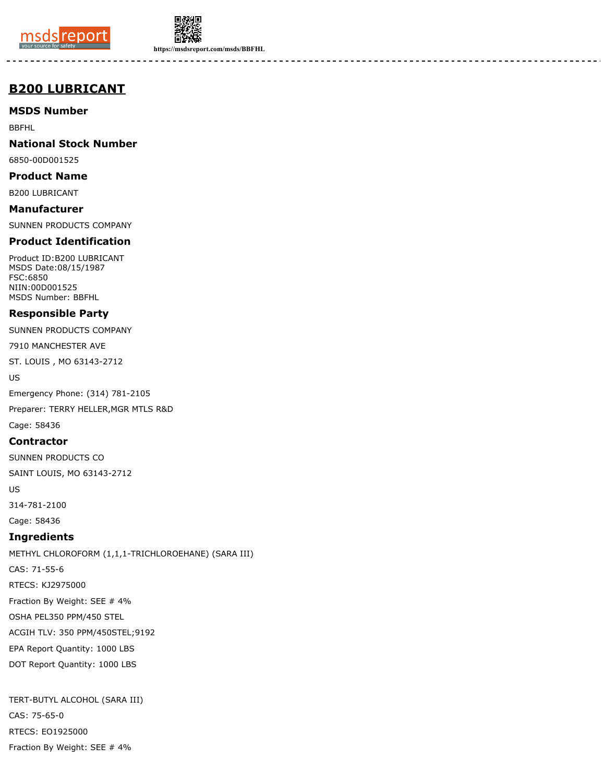



**https://msdsreport.com/msds/BBFHL**

# **B200 LUBRICANT**

**MSDS Number**

BBFHL

**National Stock Number**

6850-00D001525

**Product Name**

B200 LUBRICANT

**Manufacturer** SUNNEN PRODUCTS COMPANY

# **Product Identification**

Product ID:B200 LUBRICANT MSDS Date:08/15/1987 FSC:6850 NIIN:00D001525 MSDS Number: BBFHL

## **Responsible Party**

SUNNEN PRODUCTS COMPANY

7910 MANCHESTER AVE

ST. LOUIS , MO 63143-2712

US

Emergency Phone: (314) 781-2105

Preparer: TERRY HELLER,MGR MTLS R&D Cage: 58436

## **Contractor**

SUNNEN PRODUCTS CO

SAINT LOUIS, MO 63143-2712

US

314-781-2100

Cage: 58436

# **Ingredients**

METHYL CHLOROFORM (1,1,1-TRICHLOROEHANE) (SARA III) CAS: 71-55-6 RTECS: KJ2975000 Fraction By Weight: SEE # 4% OSHA PEL350 PPM/450 STEL ACGIH TLV: 350 PPM/450STEL;9192 EPA Report Quantity: 1000 LBS DOT Report Quantity: 1000 LBS

TERT-BUTYL ALCOHOL (SARA III) CAS: 75-65-0 RTECS: EO1925000 Fraction By Weight: SEE # 4%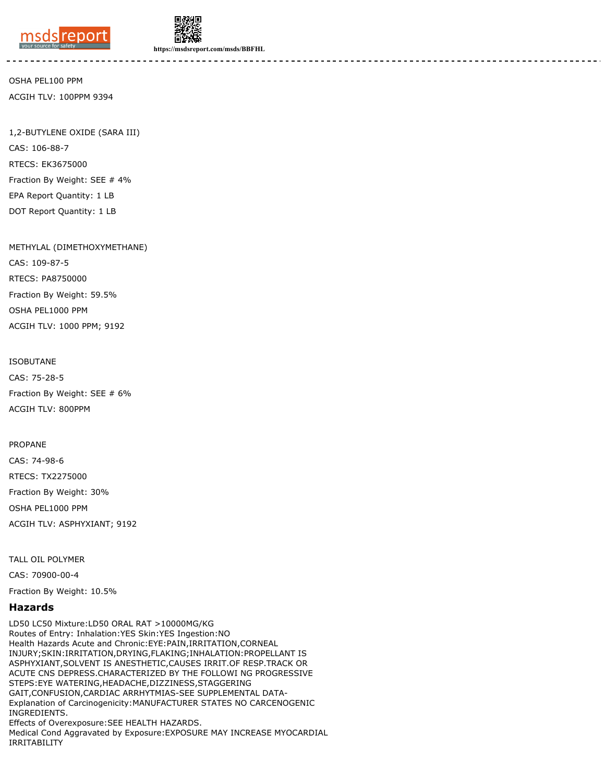



**https://msdsreport.com/msds/BBFHL**

OSHA PEL100 PPM ACGIH TLV: 100PPM 9394

1,2-BUTYLENE OXIDE (SARA III) CAS: 106-88-7 RTECS: EK3675000 Fraction By Weight: SEE # 4% EPA Report Quantity: 1 LB DOT Report Quantity: 1 LB

METHYLAL (DIMETHOXYMETHANE)

CAS: 109-87-5 RTECS: PA8750000 Fraction By Weight: 59.5% OSHA PEL1000 PPM ACGIH TLV: 1000 PPM; 9192

ISOBUTANE CAS: 75-28-5 Fraction By Weight: SEE # 6% ACGIH TLV: 800PPM

PROPANE

CAS: 74-98-6 RTECS: TX2275000 Fraction By Weight: 30% OSHA PEL1000 PPM ACGIH TLV: ASPHYXIANT; 9192

TALL OIL POLYMER

CAS: 70900-00-4

Fraction By Weight: 10.5%

#### **Hazards**

LD50 LC50 Mixture:LD50 ORAL RAT >10000MG/KG Routes of Entry: Inhalation:YES Skin:YES Ingestion:NO Health Hazards Acute and Chronic:EYE:PAIN,IRRITATION,CORNEAL INJURY;SKIN:IRRITATION,DRYING,FLAKING;INHALATION:PROPELLANT IS ASPHYXIANT,SOLVENT IS ANESTHETIC,CAUSES IRRIT.OF RESP.TRACK OR ACUTE CNS DEPRESS.CHARACTERIZED BY THE FOLLOWI NG PROGRESSIVE STEPS:EYE WATERING,HEADACHE,DIZZINESS,STAGGERING GAIT,CONFUSION,CARDIAC ARRHYTMIAS-SEE SUPPLEMENTAL DATA-Explanation of Carcinogenicity:MANUFACTURER STATES NO CARCENOGENIC INGREDIENTS. Effects of Overexposure:SEE HEALTH HAZARDS. Medical Cond Aggravated by Exposure:EXPOSURE MAY INCREASE MYOCARDIAL IRRITABILITY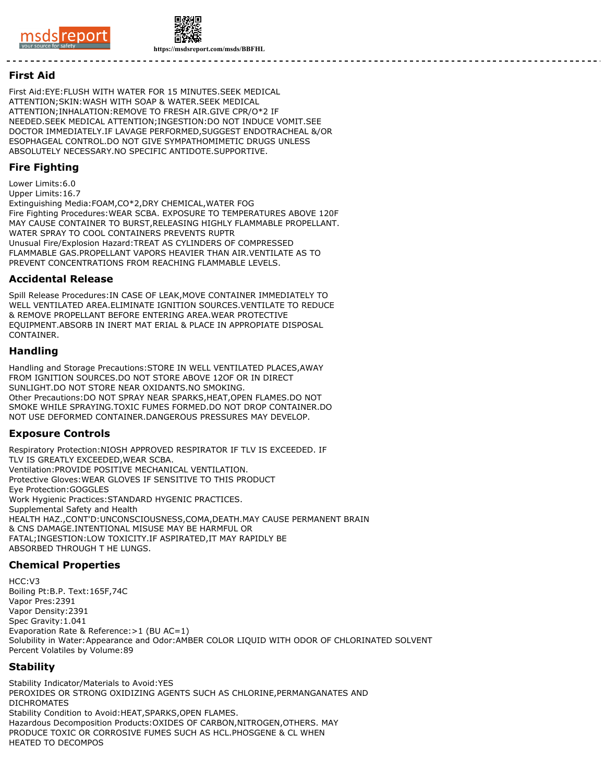



#### **First Aid**

First Aid:EYE:FLUSH WITH WATER FOR 15 MINUTES.SEEK MEDICAL ATTENTION;SKIN:WASH WITH SOAP & WATER.SEEK MEDICAL ATTENTION;INHALATION:REMOVE TO FRESH AIR.GIVE CPR/O\*2 IF NEEDED.SEEK MEDICAL ATTENTION;INGESTION:DO NOT INDUCE VOMIT.SEE DOCTOR IMMEDIATELY.IF LAVAGE PERFORMED,SUGGEST ENDOTRACHEAL &/OR ESOPHAGEAL CONTROL.DO NOT GIVE SYMPATHOMIMETIC DRUGS UNLESS ABSOLUTELY NECESSARY.NO SPECIFIC ANTIDOTE.SUPPORTIVE.

## **Fire Fighting**

Lower Limits:6.0

Upper Limits:16.7 Extinguishing Media:FOAM,CO\*2,DRY CHEMICAL,WATER FOG Fire Fighting Procedures:WEAR SCBA. EXPOSURE TO TEMPERATURES ABOVE 120F MAY CAUSE CONTAINER TO BURST,RELEASING HIGHLY FLAMMABLE PROPELLANT. WATER SPRAY TO COOL CONTAINERS PREVENTS RUPTR Unusual Fire/Explosion Hazard:TREAT AS CYLINDERS OF COMPRESSED FLAMMABLE GAS.PROPELLANT VAPORS HEAVIER THAN AIR.VENTILATE AS TO PREVENT CONCENTRATIONS FROM REACHING FLAMMABLE LEVELS.

#### **Accidental Release**

Spill Release Procedures:IN CASE OF LEAK,MOVE CONTAINER IMMEDIATELY TO WELL VENTILATED AREA.ELIMINATE IGNITION SOURCES.VENTILATE TO REDUCE & REMOVE PROPELLANT BEFORE ENTERING AREA.WEAR PROTECTIVE EQUIPMENT.ABSORB IN INERT MAT ERIAL & PLACE IN APPROPIATE DISPOSAL CONTAINER.

#### **Handling**

Handling and Storage Precautions:STORE IN WELL VENTILATED PLACES,AWAY FROM IGNITION SOURCES.DO NOT STORE ABOVE 12OF OR IN DIRECT SUNLIGHT.DO NOT STORE NEAR OXIDANTS.NO SMOKING. Other Precautions:DO NOT SPRAY NEAR SPARKS,HEAT,OPEN FLAMES.DO NOT SMOKE WHILE SPRAYING.TOXIC FUMES FORMED.DO NOT DROP CONTAINER.DO NOT USE DEFORMED CONTAINER.DANGEROUS PRESSURES MAY DEVELOP.

## **Exposure Controls**

Respiratory Protection:NIOSH APPROVED RESPIRATOR IF TLV IS EXCEEDED. IF TLV IS GREATLY EXCEEDED,WEAR SCBA. Ventilation:PROVIDE POSITIVE MECHANICAL VENTILATION. Protective Gloves:WEAR GLOVES IF SENSITIVE TO THIS PRODUCT Eye Protection:GOGGLES Work Hygienic Practices:STANDARD HYGENIC PRACTICES. Supplemental Safety and Health HEALTH HAZ.,CONT'D:UNCONSCIOUSNESS,COMA,DEATH.MAY CAUSE PERMANENT BRAIN & CNS DAMAGE.INTENTIONAL MISUSE MAY BE HARMFUL OR FATAL;INGESTION:LOW TOXICITY.IF ASPIRATED,IT MAY RAPIDLY BE ABSORBED THROUGH T HE LUNGS.

## **Chemical Properties**

HCC:V3 Boiling Pt:B.P. Text:165F,74C Vapor Pres:2391 Vapor Density:2391 Spec Gravity:1.041 Evaporation Rate & Reference:>1 (BU AC=1) Solubility in Water:Appearance and Odor:AMBER COLOR LIQUID WITH ODOR OF CHLORINATED SOLVENT Percent Volatiles by Volume:89

## **Stability**

Stability Indicator/Materials to Avoid:YES PEROXIDES OR STRONG OXIDIZING AGENTS SUCH AS CHLORINE,PERMANGANATES AND DICHROMATES Stability Condition to Avoid:HEAT,SPARKS,OPEN FLAMES. Hazardous Decomposition Products:OXIDES OF CARBON,NITROGEN,OTHERS. MAY PRODUCE TOXIC OR CORROSIVE FUMES SUCH AS HCL.PHOSGENE & CL WHEN HEATED TO DECOMPOS